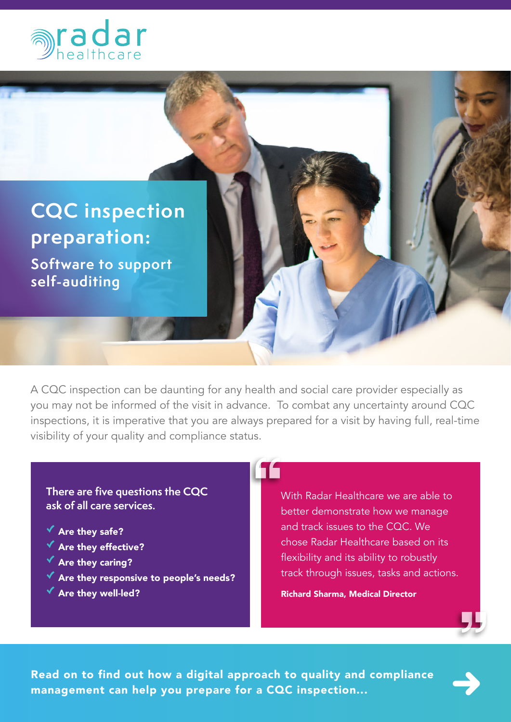



A CQC inspection can be daunting for any health and social care provider especially as you may not be informed of the visit in advance. To combat any uncertainty around CQC inspections, it is imperative that you are always prepared for a visit by having full, real-time visibility of your quality and compliance status.

11

**There are five questions the CQC ask of all care services.**

- $\checkmark$  Are they safe?
- $\checkmark$  Are they effective?
- $\checkmark$  Are they caring?
- Are they responsive to people's needs?
- $\checkmark$  Are they well-led?

With Radar Healthcare we are able to better demonstrate how we manage and track issues to the CQC. We chose Radar Healthcare based on its flexibility and its ability to robustly track through issues, tasks and actions.

#### Richard Sharma, Medical Director



Read on to find out how a digital approach to quality and compliance management can help you prepare for a CQC inspection...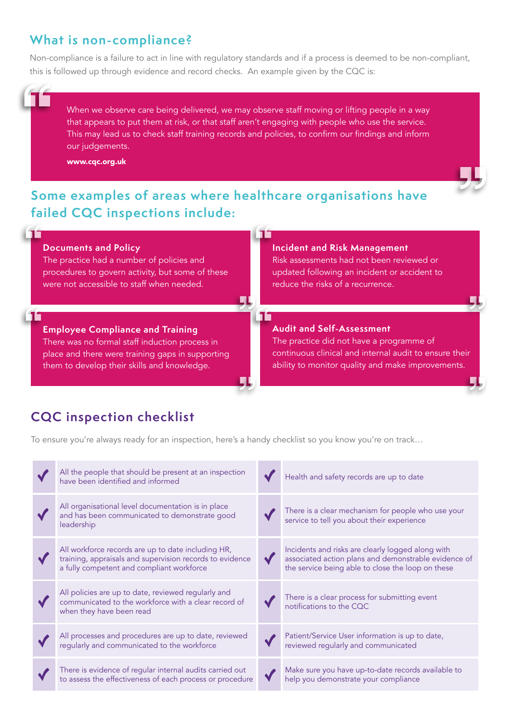## **What is non-compliance?**

Non-compliance is a failure to act in line with regulatory standards and if a process is deemed to be non-compliant, this is followed up through evidence and record checks. An example given by the CQC is:

When we observe care being delivered, we may observe staff moving or lifting people in a way that appears to put them at risk, or that staff aren't engaging with people who use the service. This may lead us to check staff training records and policies, to confirm our findings and inform our judgements.

www.cqc.org.uk

## **Some examples of areas where healthcare organisations have failed CQC inspections include:**



# **CQC inspection checklist**

To ensure you're always ready for an inspection, here's a handy checklist so you know you're on track…

| All the people that should be present at an inspection<br>have been identified and informed                                                                 | Health and safety records are up to date                                                                                                                       |
|-------------------------------------------------------------------------------------------------------------------------------------------------------------|----------------------------------------------------------------------------------------------------------------------------------------------------------------|
| All organisational level documentation is in place<br>and has been communicated to demonstrate good<br>leadership                                           | There is a clear mechanism for people who use your<br>service to tell you about their experience                                                               |
| All workforce records are up to date including HR,<br>training, appraisals and supervision records to evidence<br>a fully competent and compliant workforce | Incidents and risks are clearly logged along with<br>associated action plans and demonstrable evidence of<br>the service being able to close the loop on these |
| All policies are up to date, reviewed regularly and<br>communicated to the workforce with a clear record of<br>when they have been read                     | There is a clear process for submitting event<br>notifications to the CQC                                                                                      |
| All processes and procedures are up to date, reviewed<br>regularly and communicated to the workforce                                                        | Patient/Service User information is up to date,<br>reviewed regularly and communicated                                                                         |
| There is evidence of regular internal audits carried out<br>to assess the effectiveness of each process or procedure                                        | Make sure you have up-to-date records available to<br>help you demonstrate your compliance                                                                     |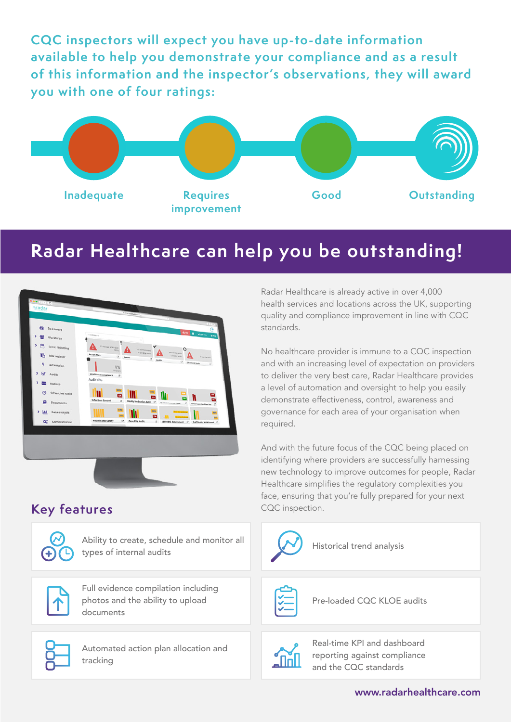**CQC inspectors will expect you have up-to-date information available to help you demonstrate your compliance and as a result of this information and the inspector's observations, they will award you with one of four ratings:** 

![](_page_2_Figure_1.jpeg)

# **Radar Healthcare can help you be outstanding!**

![](_page_2_Picture_3.jpeg)

## **Key features**

![](_page_2_Picture_5.jpeg)

Ability to create, schedule and monitor all Historical trend analysis<br>types of internal audits

![](_page_2_Picture_7.jpeg)

Full evidence compilation including photos and the ability to upload documents

![](_page_2_Picture_9.jpeg)

Automated action plan allocation and tracking

Radar Healthcare is already active in over 4,000 health services and locations across the UK, supporting quality and compliance improvement in line with CQC standards.

No healthcare provider is immune to a CQC inspection and with an increasing level of expectation on providers to deliver the very best care, Radar Healthcare provides a level of automation and oversight to help you easily demonstrate effectiveness, control, awareness and governance for each area of your organisation when required.

And with the future focus of the CQC being placed on identifying where providers are successfully harnessing new technology to improve outcomes for people, Radar Healthcare simplifies the regulatory complexities you face, ensuring that you're fully prepared for your next CQC inspection.

![](_page_2_Figure_14.jpeg)

![](_page_2_Picture_15.jpeg)

Real-time KPI and dashboard reporting against compliance and the CQC standards

#### [www.radarhealthcare.com](http://www.radarhealthcare.com)